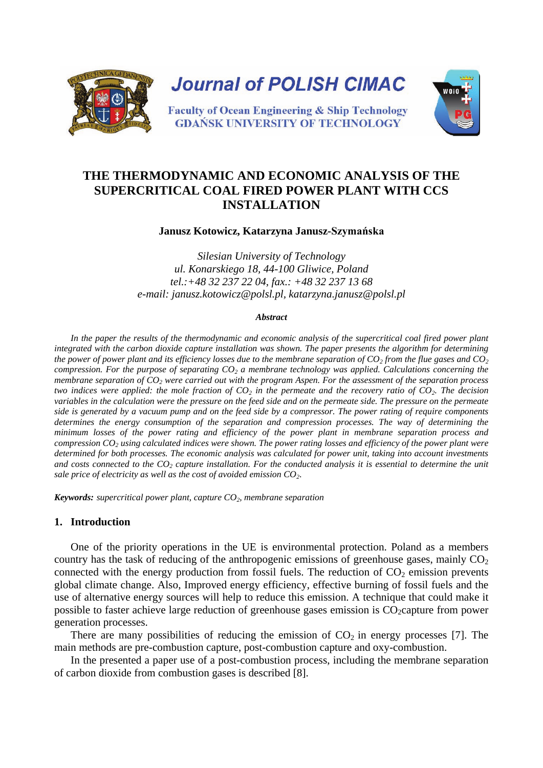

# **THE THERMODYNAMIC AND ECONOMIC ANALYSIS OF THE SUPERCRITICAL COAL FIRED POWER PLANT WITH CCS INSTALLATION**

### **Janusz Kotowicz, Katarzyna Janusz-Szymańska**

*Silesian University of Technology ul. Konarskiego 18, 44-100 Gliwice, Poland tel.:+48 32 237 22 04, fax.: +48 32 237 13 68 e-mail: janusz.kotowicz@polsl.pl, katarzyna.janusz@polsl.pl*

#### *Abstract*

In the paper the results of the thermodynamic and economic analysis of the supercritical coal fired power plant *integrated with the carbon dioxide capture installation was shown. The paper presents the algorithm for determining the power of power plant and its efficiency losses due to the membrane separation of*  $CO_2$  *from the flue gases and*  $CO_2$ *compression. For the purpose of separating CO<sub>2</sub> a membrane technology was applied. Calculations concerning the membrane separation of CO2 were carried out with the program Aspen. For the assessment of the separation process two indices were applied: the mole fraction of*  $CO_2$  *in the permeate and the recovery ratio of*  $CO_2$ *. The decision variables in the calculation were the pressure on the feed side and on the permeate side. The pressure on the permeate side is generated by a vacuum pump and on the feed side by a compressor. The power rating of require components determines the energy consumption of the separation and compression processes. The way of determining the minimum losses of the power rating and efficiency of the power plant in membrane separation process and compression CO2 using calculated indices were shown. The power rating losses and efficiency of the power plant were determined for both processes. The economic analysis was calculated for power unit, taking into account investments*  and costs connected to the  $CO_2$  capture installation. For the conducted analysis it is essential to determine the unit sale price of electricity as well as the cost of avoided emission  $CO<sub>2</sub>$ .

*Keywords: supercritical power plant, capture CO2, membrane separation* 

## **1. Introduction**

One of the priority operations in the UE is environmental protection. Poland as a members country has the task of reducing of the anthropogenic emissions of greenhouse gases, mainly  $CO<sub>2</sub>$ connected with the energy production from fossil fuels. The reduction of  $CO<sub>2</sub>$  emission prevents global climate change. Also, Improved energy efficiency, effective burning of fossil fuels and the use of alternative energy sources will help to reduce this emission. A technique that could make it possible to faster achieve large reduction of greenhouse gases emission is  $CO_2$ capture from power generation processes.

There are many possibilities of reducing the emission of  $CO<sub>2</sub>$  in energy processes [7]. The main methods are pre-combustion capture, post-combustion capture and oxy-combustion.

In the presented a paper use of a post-combustion process, including the membrane separation of carbon dioxide from combustion gases is described [8].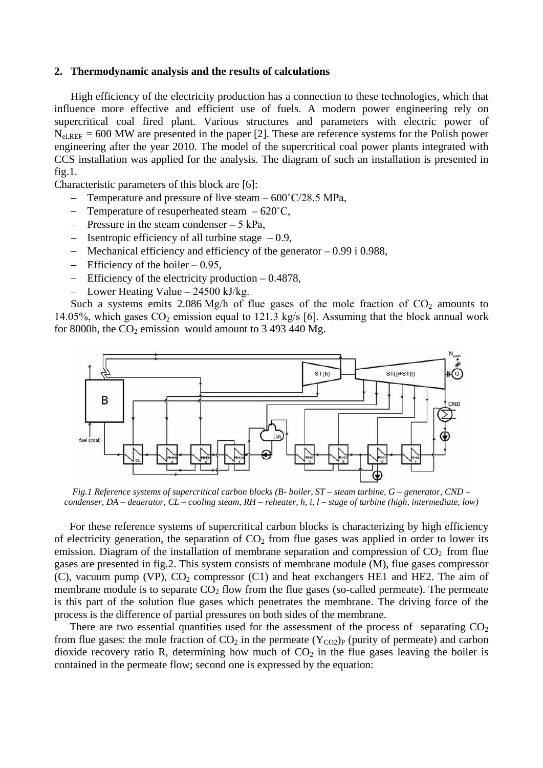#### **2. Thermodynamic analysis and the results of calculations**

High efficiency of the electricity production has a connection to these technologies, which that influence more effective and efficient use of fuels. A modern power engineering rely on supercritical coal fired plant. Various structures and parameters with electric power of  $N_{el,REF}$  = 600 MW are presented in the paper [2]. These are reference systems for the Polish power engineering after the year 2010. The model of the supercritical coal power plants integrated with CCS installation was applied for the analysis. The diagram of such an installation is presented in fig.1.

Characteristic parameters of this block are [6]:

- Temperature and pressure of live steam 600°C/28.5 MPa,
- − Temperature of resuperheated steam 620˚C,
- − Pressure in the steam condenser 5 kPa,
- − Isentropic efficiency of all turbine stage 0.9,
- − Mechanical efficiency and efficiency of the generator 0.99 i 0.988,
- − Efficiency of the boiler 0.95,
- − Efficiency of the electricity production 0.4878,
- Lower Heating Value  $24500$  kJ/kg.

Such a systems emits 2.086 Mg/h of flue gases of the mole fraction of  $CO<sub>2</sub>$  amounts to 14.05%, which gases  $CO_2$  emission equal to 121.3 kg/s [6]. Assuming that the block annual work for 8000h, the  $CO_2$  emission would amount to 3 493 440 Mg.



*Fig.1 Reference systems of supercritical carbon blocks (B- boiler, ST – steam turbine, G – generator, CND – condenser, DA – deaerator, CL – cooling steam, RH – reheater, h, i, l – stage of turbine (high, intermediate, low)*

For these reference systems of supercritical carbon blocks is characterizing by high efficiency of electricity generation, the separation of  $CO<sub>2</sub>$  from flue gases was applied in order to lower its emission. Diagram of the installation of membrane separation and compression of  $CO<sub>2</sub>$  from flue gases are presented in fig.2. This system consists of membrane module (M), flue gases compressor (C), vacuum pump (VP),  $CO<sub>2</sub>$  compressor (C1) and heat exchangers HE1 and HE2. The aim of membrane module is to separate  $CO<sub>2</sub>$  flow from the flue gases (so-called permeate). The permeate is this part of the solution flue gases which penetrates the membrane. The driving force of the process is the difference of partial pressures on both sides of the membrane.

There are two essential quantities used for the assessment of the process of separating  $CO<sub>2</sub>$ from flue gases: the mole fraction of  $CO_2$  in the permeate  $(Y_{CO2})_P$  (purity of permeate) and carbon dioxide recovery ratio R, determining how much of  $CO<sub>2</sub>$  in the flue gases leaving the boiler is contained in the permeate flow; second one is expressed by the equation: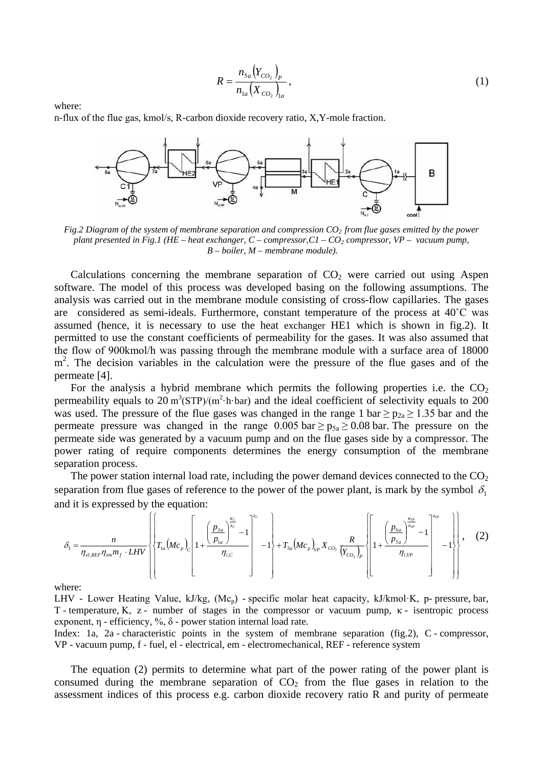$$
R = \frac{n_{5a} (Y_{CO_2})_P}{n_{1a} (X_{CO_2})_{1a}},
$$
\n(1)

where:

n-flux of the flue gas, kmol/s, R-carbon dioxide recovery ratio, X,Y-mole fraction.



*Fig.2 Diagram of the system of membrane separation and compression CO2 from flue gases emitted by the power plant presented in Fig.1 (HE – heat exchanger, C – compressor, C1 – CO<sub>2</sub> compressor, VP – vacuum pump, B – boiler, M – membrane module).*

Calculations concerning the membrane separation of  $CO<sub>2</sub>$  were carried out using Aspen software. The model of this process was developed basing on the following assumptions. The analysis was carried out in the membrane module consisting of cross-flow capillaries. The gases are considered as semi-ideals. Furthermore, constant temperature of the process at 40˚C was assumed (hence, it is necessary to use the heat exchanger HE1 which is shown in fig.2). It permitted to use the constant coefficients of permeability for the gases. It was also assumed that the flow of 900kmol/h was passing through the membrane module with a surface area of 18000 m<sup>2</sup>. The decision variables in the calculation were the pressure of the flue gases and of the permeate [4].

For the analysis a hybrid membrane which permits the following properties i.e. the  $CO<sub>2</sub>$ permeability equals to  $20 \text{ m}^3(\text{STP})/(\text{m}^2 \cdot \text{h} \cdot \text{bar})$  and the ideal coefficient of selectivity equals to  $200$ was used. The pressure of the flue gases was changed in the range 1 bar  $\geq p_{2a} \geq 1.35$  bar and the permeate pressure was changed in the range  $0.005$  bar  $\geq p_{5a} \geq 0.08$  bar. The pressure on the permeate side was generated by a vacuum pump and on the flue gases side by a compressor. The power rating of require components determines the energy consumption of the membrane separation process.

The power station internal load rate, including the power demand devices connected to the  $CO<sub>2</sub>$ separation from flue gases of reference to the power of the power plant, is mark by the symbol  $\delta_1$ and it is expressed by the equation:

$$
\delta_{1} = \frac{n}{\eta_{el,REF}\eta_{em}m_{f} \cdot LHV} \left\{ T_{1a}(Mc_{p})_{C} \left[ 1 + \frac{\left(\frac{p_{2a}}{p_{1a}}\right)^{z_{C}} - 1}{\eta_{i,C}} \right]^{z_{C}} - 1 \right\} + T_{3a}(Mc_{p})_{VP} X_{CO_{2}} \frac{R}{\left(Y_{CO_{2}}\right)_{P}} \left[ 1 + \frac{\left(\frac{p_{6a}}{p_{5a}}\right)^{z_{VP}} - 1}{\eta_{i,VP}} \right]^{z_{VP}} - 1 \right\}, \quad (2)
$$

where:

LHV - Lower Heating Value, kJ/kg, (Mc<sub>p</sub>) - specific molar heat capacity, kJ/kmol·K, p- pressure, bar, T - temperature, K, z - number of stages in the compressor or vacuum pump,  $\kappa$  - isentropic process exponent, η - efficiency, %,  $\delta$  - power station internal load rate.

Index: 1a, 2a - characteristic points in the system of membrane separation (fig.2), C - compressor, VP - vacuum pump, f - fuel, el - electrical, em - electromechanical, REF - reference system

The equation (2) permits to determine what part of the power rating of the power plant is consumed during the membrane separation of  $CO<sub>2</sub>$  from the flue gases in relation to the assessment indices of this process e.g. carbon dioxide recovery ratio R and purity of permeate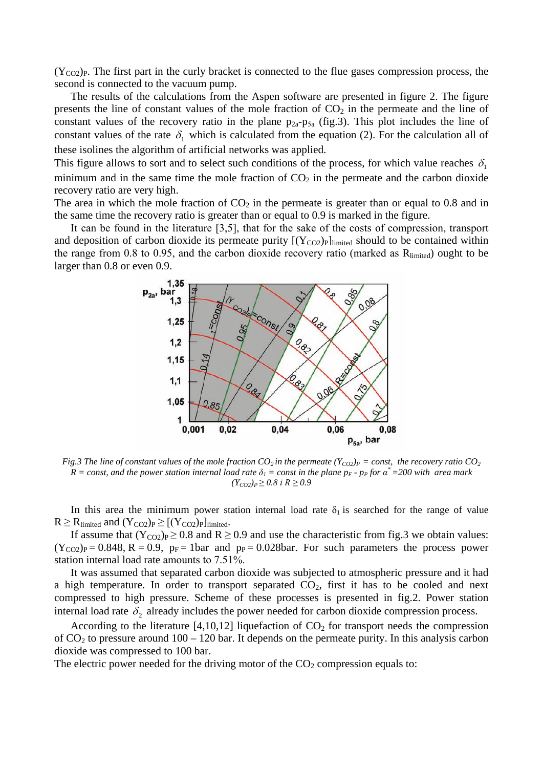$(Y_{CO2})_P$ . The first part in the curly bracket is connected to the flue gases compression process, the second is connected to the vacuum pump.

The results of the calculations from the Aspen software are presented in figure 2. The figure presents the line of constant values of the mole fraction of  $CO<sub>2</sub>$  in the permeate and the line of constant values of the recovery ratio in the plane  $p_{2a}-p_{5a}$  (fig.3). This plot includes the line of constant values of the rate  $\delta_1$  which is calculated from the equation (2). For the calculation all of these isolines the algorithm of artificial networks was applied.

This figure allows to sort and to select such conditions of the process, for which value reaches  $\delta_1$ minimum and in the same time the mole fraction of  $CO<sub>2</sub>$  in the permeate and the carbon dioxide recovery ratio are very high.

The area in which the mole fraction of  $CO<sub>2</sub>$  in the permeate is greater than or equal to 0.8 and in the same time the recovery ratio is greater than or equal to 0.9 is marked in the figure.

It can be found in the literature [3,5], that for the sake of the costs of compression, transport and deposition of carbon dioxide its permeate purity  $[(Y_{CO2})_P]$ limited should to be contained within the range from 0.8 to 0.95, and the carbon dioxide recovery ratio (marked as  $R_{\text{limited}}$ ) ought to be larger than 0.8 or even 0.9.



*Fig.3 The line of constant values of the mole fraction CO<sub>2</sub> in the permeate (Y<sub>CO2</sub>)<sub>P</sub> = const, the recovery ratio CO<sub>2</sub>*  $R = const$ , and the power station internal load rate  $\delta_1 = const$  in the plane  $p_F$  -  $p_F$  for  $\alpha^* = 200$  with area mark  $(Y_{CO2})_P$ ≥ 0.8 *i*  $R$  ≥ 0.9

In this area the minimum power station internal load rate  $\delta_1$  is searched for the range of value  $R \ge R_{\text{limited}}$  and  $(Y_{CO2})_P \ge [(Y_{CO2})_P]_{\text{limited}}$ .

If assume that  $(Y_{\text{CO2}})_{P} \geq 0.8$  and  $R \geq 0.9$  and use the characteristic from fig. 3 we obtain values:  $(Y_{CO2})_P = 0.848$ , R = 0.9,  $p_F = 1$ bar and  $p_P = 0.028$ bar. For such parameters the process power station internal load rate amounts to 7.51%.

It was assumed that separated carbon dioxide was subjected to atmospheric pressure and it had a high temperature. In order to transport separated  $CO<sub>2</sub>$ , first it has to be cooled and next compressed to high pressure. Scheme of these processes is presented in fig.2. Power station internal load rate  $\delta_2$  already includes the power needed for carbon dioxide compression process.

According to the literature [4,10,12] liquefaction of  $CO<sub>2</sub>$  for transport needs the compression of  $CO<sub>2</sub>$  to pressure around  $100 - 120$  bar. It depends on the permeate purity. In this analysis carbon dioxide was compressed to 100 bar.

The electric power needed for the driving motor of the  $CO<sub>2</sub>$  compression equals to: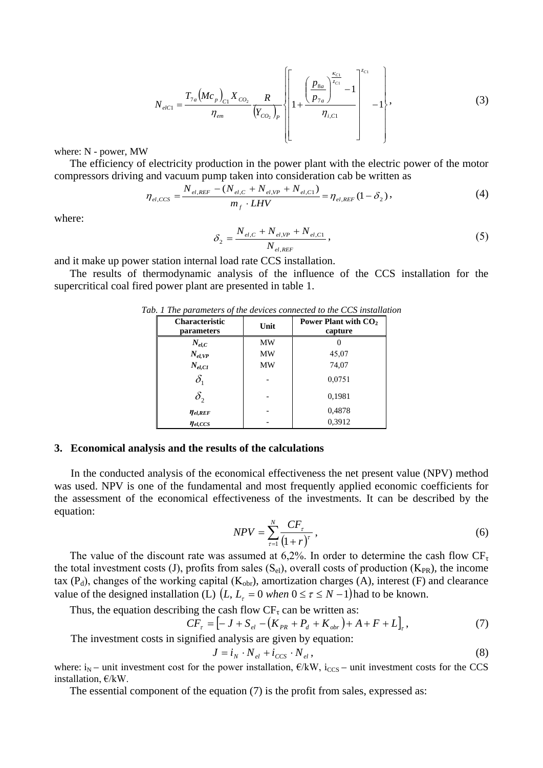$$
N_{elC1} = \frac{T_{7a} (Mc_p)_{C1} X_{CO_2}}{\eta_{em}} \frac{R}{(Y_{CO_2})_P} \left[ 1 + \frac{\left(\frac{p_{8a}}{p_{7a}}\right)^{\frac{\kappa_{C1}}{\zeta_{C1}}}}{\eta_{i,C1}} - 1 \right]^{z_{C1}} - 1 \right],
$$
\n(3)

where: N - power, MW

The efficiency of electricity production in the power plant with the electric power of the motor compressors driving and vacuum pump taken into consideration cab be written as

$$
\eta_{el,CCS} = \frac{N_{el,REF} - (N_{el,C} + N_{el,VP} + N_{el,C1})}{m_f \cdot LHV} = \eta_{el,REF} (1 - \delta_2),
$$
\n(4)

where:

$$
\delta_2 = \frac{N_{el,C} + N_{el,VP} + N_{el,C1}}{N_{el,REF}},
$$
\n(5)

and it make up power station internal load rate CCS installation.

The results of thermodynamic analysis of the influence of the CCS installation for the supercritical coal fired power plant are presented in table 1.

| <b>Characteristic</b><br>parameters | Unit      | Power Plant with $CO2$<br>capture |  |
|-------------------------------------|-----------|-----------------------------------|--|
| $N_{el,C}$                          | MW        |                                   |  |
| $N_{el,VP}$                         | MW        | 45,07                             |  |
| $N_{el,CI}$                         | <b>MW</b> | 74,07                             |  |
| $\delta_{1}$                        |           | 0.0751                            |  |
| $\delta_{\scriptscriptstyle 2}$     |           | 0,1981                            |  |
| $\eta_{el,REF}$                     |           | 0,4878                            |  |
| $\eta_{el,CCS}$                     |           | 0,3912                            |  |

*Tab. 1 The parameters of the devices connected to the CCS installation*

### **3. Economical analysis and the results of the calculations**

In the conducted analysis of the economical effectiveness the net present value (NPV) method was used. NPV is one of the fundamental and most frequently applied economic coefficients for the assessment of the economical effectiveness of the investments. It can be described by the equation:

$$
NPV = \sum_{\tau=1}^{N} \frac{CF_{\tau}}{\left(1+r\right)^{\tau}},\tag{6}
$$

The value of the discount rate was assumed at 6,2%. In order to determine the cash flow  $CF_{\tau}$ the total investment costs (J), profits from sales  $(S_{el})$ , overall costs of production  $(K_{PR})$ , the income tax (P<sub>d</sub>), changes of the working capital (K<sub>obr</sub>), amortization charges (A), interest (F) and clearance value of the designed installation (L)  $(L, L = 0$  when  $0 \le \tau \le N - 1$ ) had to be known.

Thus, the equation describing the cash flow  $CF_{\tau}$  can be written as:

$$
CF_{\tau} = [-J + S_{el} - (K_{PR} + P_d + K_{obr}) + A + F + L]_{\tau},
$$
\n
$$
(7)
$$

The investment costs in signified analysis are given by equation:  $J = i_y \cdot N + i_{\text{csc}} \cdot N$  (8)

$$
= i_N \cdot N_{el} + i_{CCS} \cdot N_{el}, \tag{8}
$$

where:  $i_N$  – unit investment cost for the power installation,  $\epsilon/kW$ ,  $i_{CCS}$  – unit investment costs for the CCS installation, €/kW.

The essential component of the equation (7) is the profit from sales, expressed as: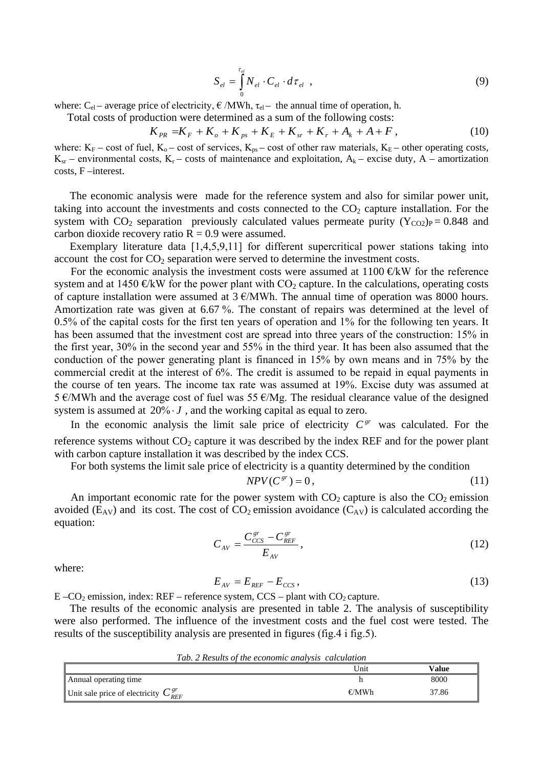$$
S_{el} = \int_{0}^{\tau_{el}} N_{el} \cdot C_{el} \cdot d\tau_{el} , \qquad (9)
$$

where: C<sub>el</sub> – average price of electricity,  $\epsilon$  /MWh,  $\tau_{el}$  – the annual time of operation, h.

Total costs of production were determined as a sum of the following costs:

$$
K_{PR} = K_F + K_o + K_{ps} + K_E + K_{sr} + K_r + A_k + A + F,
$$
\n(10)

where:  $K_F$  – cost of fuel,  $K_o$  – cost of services,  $K_{ps}$  – cost of other raw materials,  $K_E$  – other operating costs,  $K_{sr}$  – environmental costs,  $K_r$  – costs of maintenance and exploitation,  $A_k$  – excise duty, A – amortization costs, F –interest.

The economic analysis were made for the reference system and also for similar power unit, taking into account the investments and costs connected to the  $CO<sub>2</sub>$  capture installation. For the system with  $CO_2$  separation previously calculated values permeate purity  $(Y_{CO2})_P = 0.848$  and carbon dioxide recovery ratio  $R = 0.9$  were assumed.

Exemplary literature data [1,4,5,9,11] for different supercritical power stations taking into account the cost for  $CO_2$  separation were served to determine the investment costs.

For the economic analysis the investment costs were assumed at  $1100 \in \text{KW}$  for the reference system and at 1450  $\oplus$ kW for the power plant with CO<sub>2</sub> capture. In the calculations, operating costs of capture installation were assumed at  $3 \text{ E/MWh}$ . The annual time of operation was 8000 hours. Amortization rate was given at 6.67 %. The constant of repairs was determined at the level of 0.5% of the capital costs for the first ten years of operation and 1% for the following ten years. It has been assumed that the investment cost are spread into three years of the construction: 15% in the first year, 30% in the second year and 55% in the third year. It has been also assumed that the conduction of the power generating plant is financed in 15% by own means and in 75% by the commercial credit at the interest of 6%. The credit is assumed to be repaid in equal payments in the course of ten years. The income tax rate was assumed at 19%. Excise duty was assumed at 5 €/MWh and the average cost of fuel was 55 €/Mg. The residual clearance value of the designed system is assumed at 20% *J*, and the working capital as equal to zero.

In the economic analysis the limit sale price of electricity  $C^{gr}$  was calculated. For the reference systems without  $CO<sub>2</sub>$  capture it was described by the index REF and for the power plant with carbon capture installation it was described by the index CCS.

For both systems the limit sale price of electricity is a quantity determined by the condition

$$
NPV(C^{gr}) = 0, \t\t(11)
$$

An important economic rate for the power system with  $CO<sub>2</sub>$  capture is also the  $CO<sub>2</sub>$  emission avoided ( $E_{AV}$ ) and its cost. The cost of  $CO_2$  emission avoidance ( $C_{AV}$ ) is calculated according the equation:

$$
C_{AV} = \frac{C_{CCS}^{gr} - C_{REF}^{gr}}{E_{AV}},
$$
\n(12)

where:

$$
E_{AV} = E_{REF} - E_{CCS},\tag{13}
$$

 $E - CO<sub>2</sub>$  emission, index: REF – reference system, CCS – plant with  $CO<sub>2</sub>$  capture.

The results of the economic analysis are presented in table 2. The analysis of susceptibility were also performed. The influence of the investment costs and the fuel cost were tested. The results of the susceptibility analysis are presented in figures (fig.4 i fig.5).

*Tab. 2 Results of the economic analysis calculation*

|                                               | Unit    | Value |  |
|-----------------------------------------------|---------|-------|--|
| Annual operating time                         |         | 8000  |  |
| Unit sale price of electricity $C_{REF}^{gr}$ | $\n  W$ | 37.86 |  |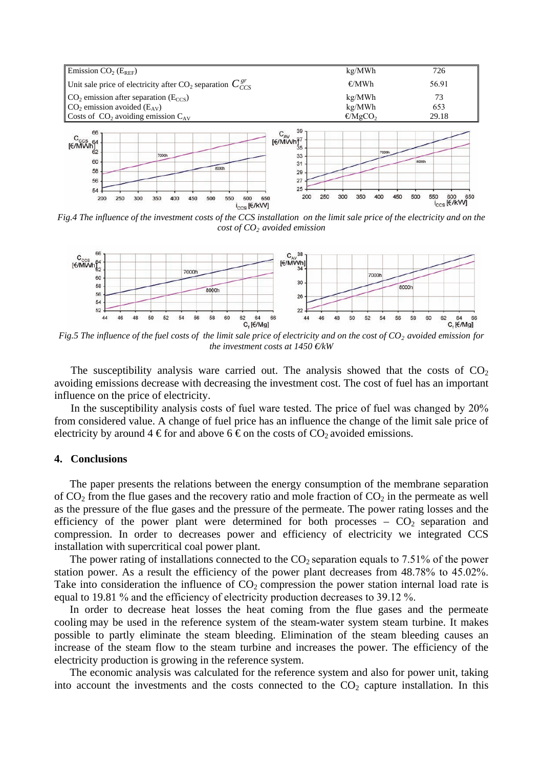

*Fig.4 The influence of the investment costs of the CCS installation on the limit sale price of the electricity and on the cost of CO2 avoided emission* 



*Fig.5 The influence of the fuel costs of the limit sale price of electricity and on the cost of CO<sub>2</sub> avoided emission for the investment costs at 1450 €/kW*

The susceptibility analysis ware carried out. The analysis showed that the costs of  $CO<sub>2</sub>$ avoiding emissions decrease with decreasing the investment cost. The cost of fuel has an important influence on the price of electricity.

In the susceptibility analysis costs of fuel ware tested. The price of fuel was changed by 20% from considered value. A change of fuel price has an influence the change of the limit sale price of electricity by around 4  $\epsilon$  for and above 6  $\epsilon$  on the costs of CO<sub>2</sub> avoided emissions.

#### **4. Conclusions**

The paper presents the relations between the energy consumption of the membrane separation of  $CO<sub>2</sub>$  from the flue gases and the recovery ratio and mole fraction of  $CO<sub>2</sub>$  in the permeate as well as the pressure of the flue gases and the pressure of the permeate. The power rating losses and the efficiency of the power plant were determined for both processes  $-CO<sub>2</sub>$  separation and compression. In order to decreases power and efficiency of electricity we integrated CCS installation with supercritical coal power plant.

The power rating of installations connected to the  $CO_2$  separation equals to 7.51% of the power station power. As a result the efficiency of the power plant decreases from 48.78% to 45.02%. Take into consideration the influence of  $CO<sub>2</sub>$  compression the power station internal load rate is equal to 19.81 % and the efficiency of electricity production decreases to 39.12 %.

In order to decrease heat losses the heat coming from the flue gases and the permeate cooling may be used in the reference system of the steam-water system steam turbine. It makes possible to partly eliminate the steam bleeding. Elimination of the steam bleeding causes an increase of the steam flow to the steam turbine and increases the power. The efficiency of the electricity production is growing in the reference system.

The economic analysis was calculated for the reference system and also for power unit, taking into account the investments and the costs connected to the  $CO<sub>2</sub>$  capture installation. In this